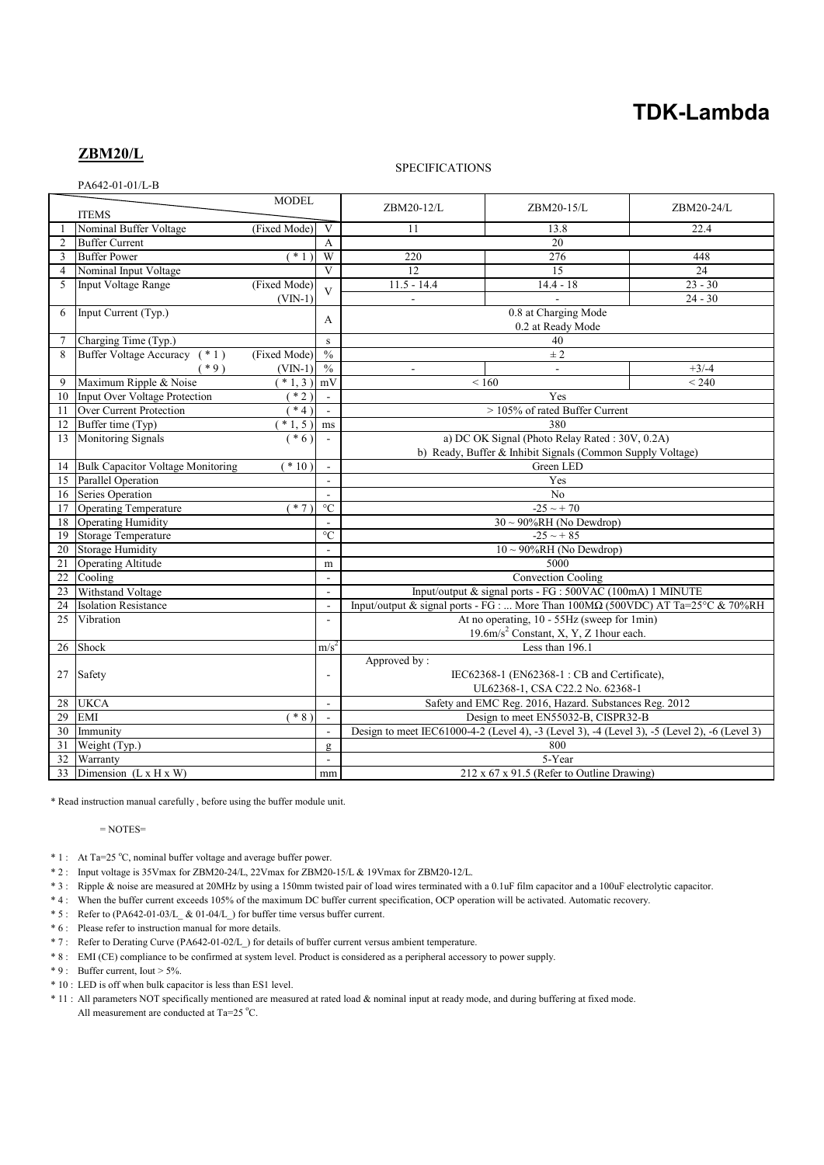# **TDK-Lambda**

# **ZBM20/L**

PA642-01-01/L-B

## **SPECIFICATIONS**

| <b>MODEL</b><br><b>ITEMS</b> |                                          |              |                                                                                               | ZBM20-12/L                                                                                    | ZBM20-15/L               | ZBM20-24/L      |
|------------------------------|------------------------------------------|--------------|-----------------------------------------------------------------------------------------------|-----------------------------------------------------------------------------------------------|--------------------------|-----------------|
|                              | Nominal Buffer Voltage                   | (Fixed Mode) | $\mathbf{V}$                                                                                  | 11                                                                                            | 13.8                     | 22.4            |
| $\overline{2}$               | <b>Buffer Current</b>                    |              | $\overline{A}$                                                                                | 20                                                                                            |                          |                 |
| 3                            | <b>Buffer Power</b>                      | $*1)$        | W                                                                                             | 220                                                                                           | 276                      | 448             |
| $\overline{4}$               | Nominal Input Voltage                    |              | $\overline{\mathbf{V}}$                                                                       | $\overline{12}$                                                                               | $\overline{15}$          | $\overline{24}$ |
| 5                            | Input Voltage Range                      | (Fixed Mode) | $\overline{V}$                                                                                | $11.5 - 14.4$                                                                                 | $14.4 - 18$              | $23 - 30$       |
|                              |                                          | $(VIN-1)$    |                                                                                               |                                                                                               |                          | $24 - 30$       |
| 6                            | Input Current (Typ.)                     |              |                                                                                               | 0.8 at Charging Mode                                                                          |                          |                 |
|                              |                                          |              | А                                                                                             | 0.2 at Ready Mode                                                                             |                          |                 |
| 7                            | Charging Time (Typ.)                     |              | s                                                                                             | 40                                                                                            |                          |                 |
| 8                            | Buffer Voltage Accuracy (*1)             | (Fixed Mode) | $\frac{0}{0}$                                                                                 | $\pm 2$                                                                                       |                          |                 |
|                              | $*9)$                                    | $(VIN-1)$    | $\frac{0}{0}$                                                                                 | ä,                                                                                            | $\overline{\phantom{a}}$ | $+3/-4$         |
| 9                            | Maximum Ripple & Noise                   | $*1,3)$      | mV                                                                                            | ${}_{< 160}$                                                                                  |                          | < 240           |
| 10                           | <b>Input Over Voltage Protection</b>     | $*2)$        | $\mathbf{r}$                                                                                  | Yes                                                                                           |                          |                 |
| 11                           | Over Current Protection                  | $*4)$        | $\overline{\phantom{a}}$                                                                      | > 105% of rated Buffer Current                                                                |                          |                 |
| 12                           | Buffer time (Typ)                        | $*1, 5)$     | ms                                                                                            | 380                                                                                           |                          |                 |
| 13                           | Monitoring Signals                       | $* 6)$       |                                                                                               | a) DC OK Signal (Photo Relay Rated: 30V, 0.2A)                                                |                          |                 |
|                              |                                          |              |                                                                                               | b) Ready, Buffer & Inhibit Signals (Common Supply Voltage)                                    |                          |                 |
| 14                           | <b>Bulk Capacitor Voltage Monitoring</b> | $*10)$       |                                                                                               | Green LED                                                                                     |                          |                 |
| 15                           | Parallel Operation                       |              |                                                                                               | Yes                                                                                           |                          |                 |
| 16                           | Series Operation                         |              | $\sim$                                                                                        | N <sub>0</sub>                                                                                |                          |                 |
| 17                           | <b>Operating Temperature</b>             | $*7)$        | $\rm ^{\circ}C$                                                                               | $-25 \sim +70$                                                                                |                          |                 |
| 18                           | Operating Humidity                       |              | $\mathbf{r}$                                                                                  | $30 \sim 90\% RH$ (No Dewdrop)                                                                |                          |                 |
| 19                           | $\overline{C}$<br>Storage Temperature    |              |                                                                                               | $-25 \sim +85$                                                                                |                          |                 |
| 20                           | <b>Storage Humidity</b><br>$\mathbf{r}$  |              |                                                                                               | $10 \sim 90\% RH$ (No Dewdrop)                                                                |                          |                 |
| 21                           | <b>Operating Altitude</b>                |              | m                                                                                             | 5000                                                                                          |                          |                 |
| 22                           | Cooling                                  |              | $\overline{\phantom{a}}$                                                                      | Convection Cooling                                                                            |                          |                 |
| 23                           | Withstand Voltage                        |              | $\overline{a}$                                                                                | Input/output & signal ports - FG : 500VAC (100mA) 1 MINUTE                                    |                          |                 |
| 24                           | <b>Isolation Resistance</b>              |              | $\blacksquare$                                                                                | Input/output & signal ports - FG :  More Than $100\text{M}\Omega$ (500VDC) AT Ta=25°C & 70%RH |                          |                 |
| 25                           | Vibration                                |              | $\overline{\phantom{a}}$                                                                      | At no operating, 10 - 55Hz (sweep for 1min)                                                   |                          |                 |
|                              |                                          |              | 19.6m/s <sup>2</sup> Constant, X, Y, Z 1hour each.                                            |                                                                                               |                          |                 |
| 26                           | Shock<br>m/s <sup>2</sup>                |              | Less than 196.1                                                                               |                                                                                               |                          |                 |
|                              |                                          |              |                                                                                               | Approved by:                                                                                  |                          |                 |
| 27                           | Safety                                   |              | ÷,                                                                                            | IEC62368-1 (EN62368-1: CB and Certificate),                                                   |                          |                 |
|                              |                                          |              |                                                                                               | UL62368-1, CSA C22.2 No. 62368-1                                                              |                          |                 |
| 28                           | <b>UKCA</b>                              |              | $\overline{\phantom{a}}$                                                                      | Safety and EMC Reg. 2016, Hazard. Substances Reg. 2012                                        |                          |                 |
| 29                           | <b>EMI</b>                               | $*8)$        | $\blacksquare$                                                                                | Design to meet EN55032-B, CISPR32-B                                                           |                          |                 |
| 30                           | Immunity<br>$\overline{\phantom{a}}$     |              | Design to meet IEC61000-4-2 (Level 4), -3 (Level 3), -4 (Level 3), -5 (Level 2), -6 (Level 3) |                                                                                               |                          |                 |
| 31                           | Weight (Typ.)<br>g                       |              | 800                                                                                           |                                                                                               |                          |                 |
| 32                           | Warranty                                 |              | $\blacksquare$                                                                                | 5-Year                                                                                        |                          |                 |
| 33                           | Dimension $(L \times H \times W)$        |              | mm                                                                                            | 212 x 67 x 91.5 (Refer to Outline Drawing)                                                    |                          |                 |

\* Read instruction manual carefully , before using the buffer module unit.

 $=$  NOTES $=$ 

- \* 1 : At Ta=25 °C, nominal buffer voltage and average buffer power.
- \* 2 : Input voltage is 35Vmax for ZBM20-24/L, 22Vmax for ZBM20-15/L & 19Vmax for ZBM20-12/L.
- \* 3 : Ripple & noise are measured at 20MHz by using a 150mm twisted pair of load wires terminated with a 0.1uF film capacitor and a 100uF electrolytic capacitor.
- \* 4 : When the buffer current exceeds 105% of the maximum DC buffer current specification, OCP operation will be activated. Automatic recovery.
- \* 5 : Refer to (PA642-01-03/L\_ & 01-04/L\_) for buffer time versus buffer current.
- \* 6 : Please refer to instruction manual for more details.
- \* 7 : Refer to Derating Curve (PA642-01-02/L\_) for details of buffer current versus ambient temperature.
- \* 8 : EMI (CE) compliance to be confirmed at system level. Product is considered as a peripheral accessory to power supply.
- \* 9 : Buffer current, Iout > 5%.
- \* 10 : LED is off when bulk capacitor is less than ES1 level.
- \* 11 : All parameters NOT specifically mentioned are measured at rated load & nominal input at ready mode, and during buffering at fixed mode. All measurement are conducted at Ta=25  $^{\circ}$ C.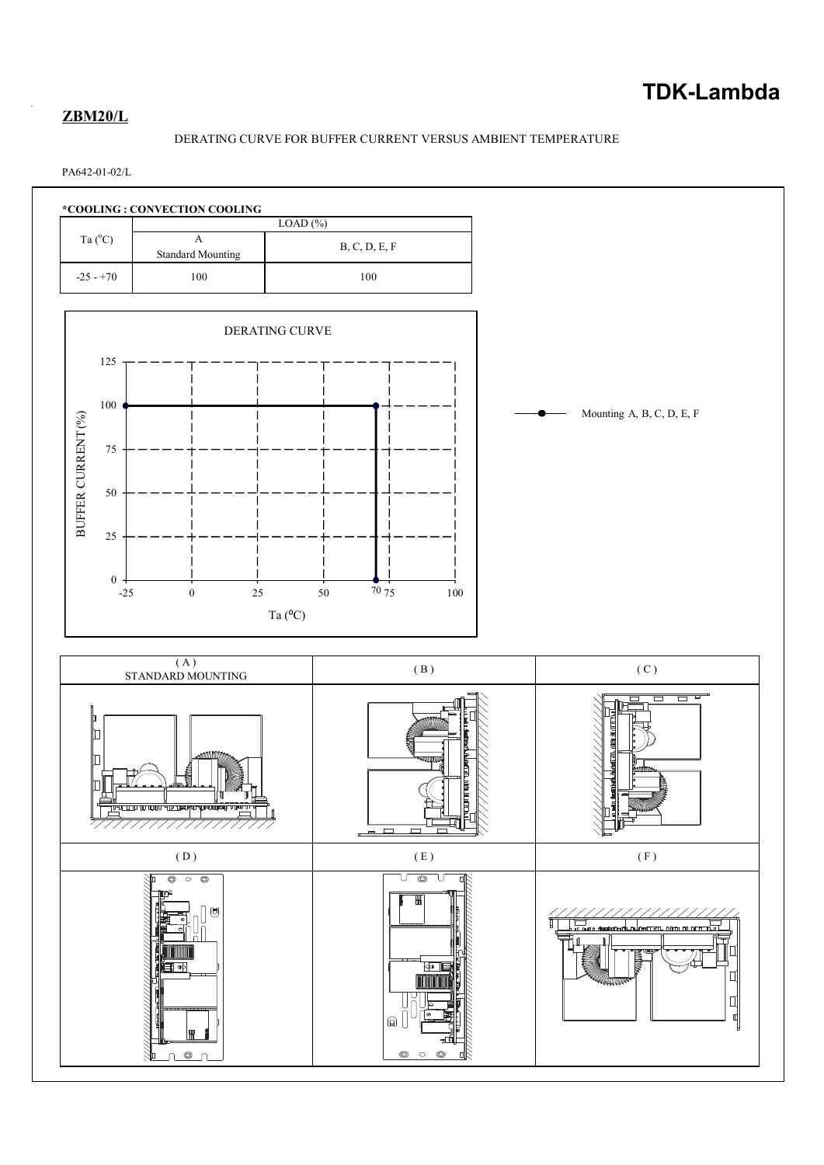# **ZBM20/L**

# DERATING CURVE FOR BUFFER CURRENT VERSUS AMBIENT TEMPERATURE

PA642-01-02/L

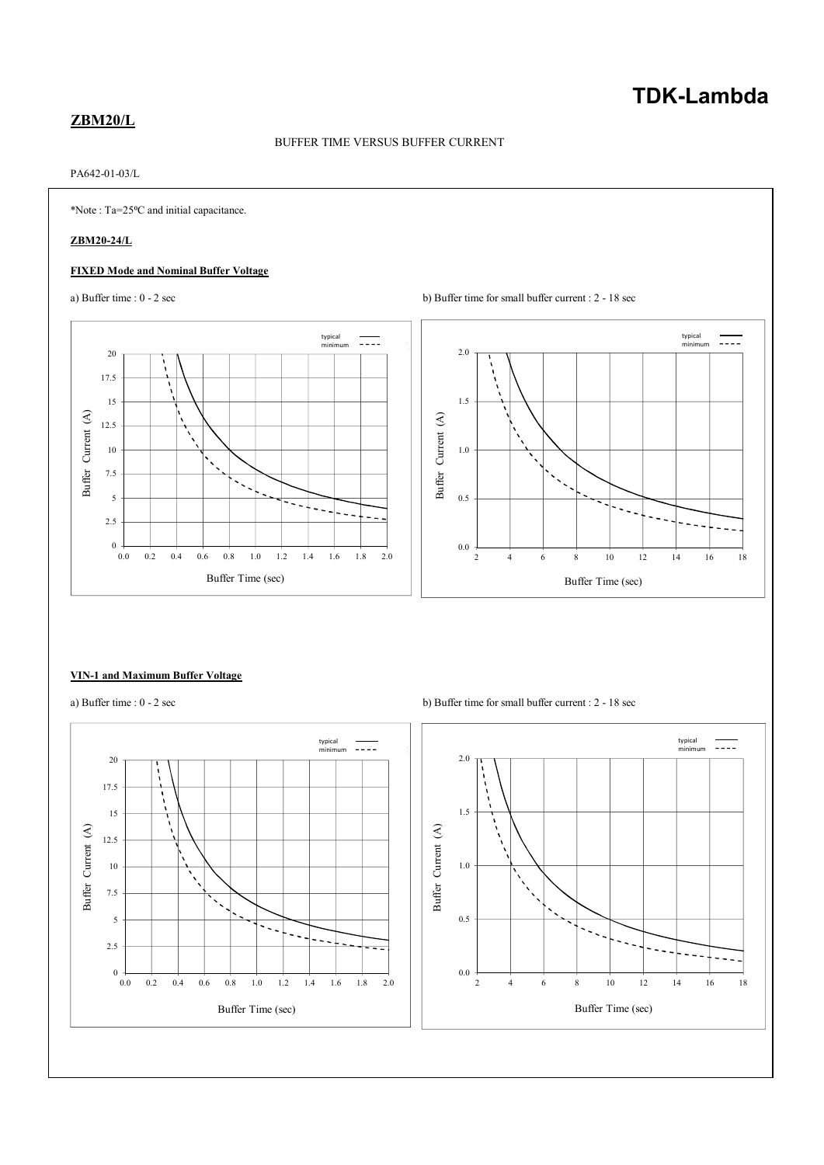# **TDK-Lambda**

# **ZBM20/L**

# BUFFER TIME VERSUS BUFFER CURRENT

# PA642-01-03/L

\*Note : Ta=25⁰C and initial capacitance.

# **ZBM20-24/L**

### **FIXED Mode and Nominal Buffer Voltage**





#### **VIN-1 and Maximum Buffer Voltage**



a) Buffer time :  $0 - 2 \sec$  b) Buffer time for small buffer current :  $2 - 18 \sec$